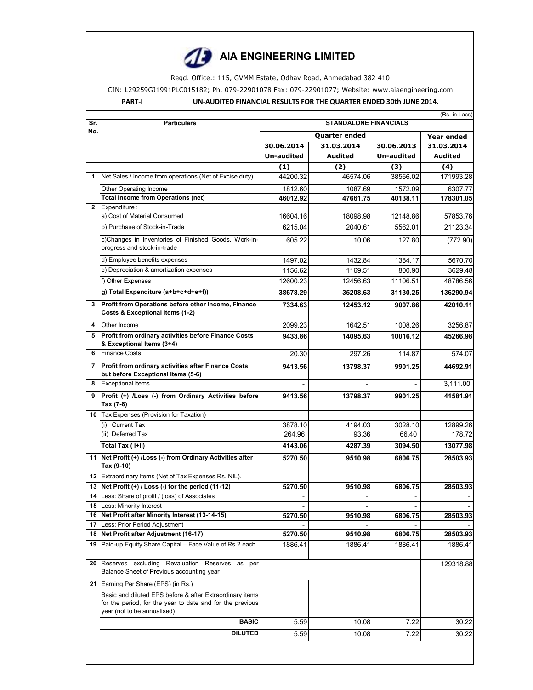

# **AIA ENGINEERING LIMITED**

Regd. Office.: 115, GVMM Estate, Odhav Road, Ahmedabad 382 410

CIN: L29259GJ1991PLC015182; Ph. 079-22901078 Fax: 079-22901077; Website: www.aiaengineering.com

## **PART-I UN-AUDITED FINANCIAL RESULTS FOR THE QUARTER ENDED 30th JUNE 2014.**

|                | (Rs. in Lacs)                                                                                                                                        |                              |                          |                          |                     |  |
|----------------|------------------------------------------------------------------------------------------------------------------------------------------------------|------------------------------|--------------------------|--------------------------|---------------------|--|
| Sr.            | <b>Particulars</b>                                                                                                                                   | <b>STANDALONE FINANCIALS</b> |                          |                          |                     |  |
| No.            |                                                                                                                                                      |                              | <b>Year ended</b>        |                          |                     |  |
|                |                                                                                                                                                      | 30.06.2014                   | 31.03.2014               | 30.06.2013               | 31.03.2014          |  |
|                |                                                                                                                                                      | <b>Un-audited</b>            | <b>Audited</b>           | <b>Un-audited</b>        | <b>Audited</b>      |  |
|                |                                                                                                                                                      | (1)                          | (2)                      | (3)                      | (4)                 |  |
| 1              | Net Sales / Income from operations (Net of Excise duty)                                                                                              | 44200.32                     | 46574.06                 | 38566.02                 | 171993.28           |  |
|                | Other Operating Income                                                                                                                               | 1812.60                      | 1087.69                  | 1572.09                  | 6307.77             |  |
|                | <b>Total Income from Operations (net)</b>                                                                                                            | 46012.92                     | 47661.75                 | 40138.11                 | 178301.05           |  |
| $\overline{2}$ | Expenditure :                                                                                                                                        |                              |                          |                          |                     |  |
|                | a) Cost of Material Consumed                                                                                                                         | 16604.16                     | 18098.98                 | 12148.86                 | 57853.76            |  |
|                | b) Purchase of Stock-in-Trade                                                                                                                        | 6215.04                      | 2040.61                  | 5562.01                  | 21123.34            |  |
|                | c)Changes in Inventories of Finished Goods, Work-in-<br>progress and stock-in-trade                                                                  | 605.22                       | 10.06                    | 127.80                   | (772.90)            |  |
|                | d) Employee benefits expenses                                                                                                                        | 1497.02                      | 1432.84                  | 1384.17                  | 5670.70             |  |
|                | e) Depreciation & amortization expenses                                                                                                              | 1156.62                      | 1169.51                  | 800.90                   | 3629.48             |  |
|                | f) Other Expenses                                                                                                                                    | 12600.23                     | 12456.63                 | 11106.51                 | 48786.56            |  |
|                | g) Total Expenditure (a+b+c+d+e+f))                                                                                                                  | 38678.29                     | 35208.63                 | 31130.25                 | 136290.94           |  |
| 3              | Profit from Operations before other Income, Finance<br>Costs & Exceptional Items (1-2)                                                               | 7334.63                      | 12453.12                 | 9007.86                  | 42010.11            |  |
| 4              | Other Income                                                                                                                                         | 2099.23                      | 1642.51                  | 1008.26                  | 3256.87             |  |
| 5              | Profit from ordinary activities before Finance Costs<br>& Exceptional Items (3+4)                                                                    | 9433.86                      | 14095.63                 | 10016.12                 | 45266.98            |  |
| 6              | <b>Finance Costs</b>                                                                                                                                 | 20.30                        | 297.26                   | 114.87                   | 574.07              |  |
| 7              | Profit from ordinary activities after Finance Costs<br>but before Exceptional Items (5-6)                                                            | 9413.56                      | 13798.37                 | 9901.25                  | 44692.91            |  |
| 8              | <b>Exceptional Items</b>                                                                                                                             |                              |                          |                          | 3,111.00            |  |
| 9              | Profit (+) /Loss (-) from Ordinary Activities before<br>Tax (7-8)                                                                                    | 9413.56                      | 13798.37                 | 9901.25                  | 41581.91            |  |
|                | 10 Tax Expenses (Provision for Taxation)                                                                                                             |                              |                          |                          |                     |  |
|                | (i) Current Tax                                                                                                                                      | 3878.10                      | 4194.03                  | 3028.10                  | 12899.26            |  |
|                | (ii) Deferred Tax                                                                                                                                    | 264.96                       | 93.36                    | 66.40                    | 178.72              |  |
|                | Total Tax (i+ii)                                                                                                                                     | 4143.06                      | 4287.39                  | 3094.50                  | 13077.98            |  |
| 11             | Net Profit (+) /Loss (-) from Ordinary Activities after<br>Tax (9-10)                                                                                | 5270.50                      | 9510.98                  | 6806.75                  | 28503.93            |  |
| 12             | Extraordinary Items (Net of Tax Expenses Rs. NIL).                                                                                                   |                              |                          |                          |                     |  |
| 13             | Net Profit (+) / Loss (-) for the period (11-12)                                                                                                     | 5270.50                      | 9510.98                  | 6806.75                  | 28503.93            |  |
| 14             | Less: Share of profit / (loss) of Associates                                                                                                         |                              | $\overline{\phantom{a}}$ | $\overline{\phantom{a}}$ |                     |  |
|                | <b>15 Less: Minority Interest</b>                                                                                                                    |                              |                          |                          |                     |  |
|                | 16 Net Profit after Minority Interest (13-14-15)                                                                                                     | 5270.50                      | 9510.98                  | 6806.75                  | 28503.93            |  |
| 17             | Less: Prior Period Adjustment                                                                                                                        |                              |                          |                          |                     |  |
| 18<br>19       | Net Profit after Adjustment (16-17)<br>Paid-up Equity Share Capital - Face Value of Rs.2 each.                                                       | 5270.50<br>1886.41           | 9510.98<br>1886.41       | 6806.75<br>1886.41       | 28503.93<br>1886.41 |  |
| 20             | Reserves excluding Revaluation Reserves as<br>per<br>Balance Sheet of Previous accounting year                                                       |                              |                          |                          | 129318.88           |  |
| 21             | Earning Per Share (EPS) (in Rs.)                                                                                                                     |                              |                          |                          |                     |  |
|                | Basic and diluted EPS before & after Extraordinary items<br>for the period, for the year to date and for the previous<br>year (not to be annualised) |                              |                          |                          |                     |  |
|                | <b>BASIC</b>                                                                                                                                         | 5.59                         | 10.08                    | 7.22                     | 30.22               |  |
|                | <b>DILUTED</b>                                                                                                                                       | 5.59                         | 10.08                    | 7.22                     | 30.22               |  |
|                |                                                                                                                                                      |                              |                          |                          |                     |  |
|                |                                                                                                                                                      |                              |                          |                          |                     |  |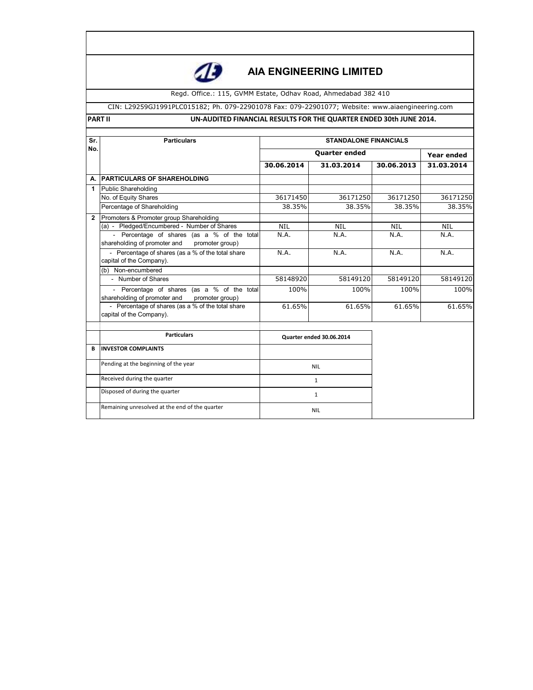

# **AIA ENGINEERING LIMITED**

Regd. Office.: 115, GVMM Estate, Odhav Road, Ahmedabad 382 410

#### CIN: L29259GJ1991PLC015182; Ph. 079-22901078 Fax: 079-22901077; Website: www.aiaengineering.com

#### **PART II** UN-AUDITED FINANCIAL RESULTS FOR THE QUARTER ENDED 30th JUNE 2014.

| Sr.          | <b>STANDALONE FINANCIALS</b><br><b>Particulars</b>                                             |                          |                      |            |                   |  |  |
|--------------|------------------------------------------------------------------------------------------------|--------------------------|----------------------|------------|-------------------|--|--|
| No.          |                                                                                                |                          | <b>Quarter ended</b> |            | <b>Year ended</b> |  |  |
|              |                                                                                                | 30.06.2014               | 31.03.2014           | 30.06.2013 | 31.03.2014        |  |  |
| А.           | <b>PARTICULARS OF SHAREHOLDING</b>                                                             |                          |                      |            |                   |  |  |
| 1            | <b>Public Shareholding</b>                                                                     |                          |                      |            |                   |  |  |
|              | No. of Equity Shares                                                                           | 36171450                 | 36171250             | 36171250   | 36171250          |  |  |
|              | Percentage of Shareholding                                                                     | 38.35%                   | 38.35%               | 38.35%     | 38.35%            |  |  |
| $\mathbf{2}$ | Promoters & Promoter group Shareholding                                                        |                          |                      |            |                   |  |  |
|              | (a) - Pledged/Encumbered - Number of Shares                                                    | <b>NIL</b>               | <b>NIL</b>           | <b>NIL</b> | <b>NIL</b>        |  |  |
|              | - Percentage of shares (as a % of the total<br>shareholding of promoter and<br>promoter group) | N.A.                     | N.A.                 | N.A.       | N.A.              |  |  |
|              | - Percentage of shares (as a % of the total share<br>capital of the Company).                  | N.A.                     | N.A.                 | N.A.       | N.A.              |  |  |
|              | (b) Non-encumbered                                                                             |                          |                      |            |                   |  |  |
|              | - Number of Shares                                                                             | 58148920                 | 58149120             | 58149120   | 58149120          |  |  |
|              | - Percentage of shares (as a % of the total<br>shareholding of promoter and<br>promoter group) | 100%                     | 100%                 | 100%       | 100%              |  |  |
|              | - Percentage of shares (as a % of the total share<br>capital of the Company).                  | 61.65%                   | 61.65%               | 61.65%     | 61.65%            |  |  |
|              | <b>Particulars</b>                                                                             | Quarter ended 30.06.2014 |                      |            |                   |  |  |
| B            | <b>INVESTOR COMPLAINTS</b>                                                                     |                          |                      |            |                   |  |  |
|              | Pending at the beginning of the year                                                           | <b>NIL</b>               |                      |            |                   |  |  |
|              | Received during the quarter                                                                    | $\mathbf{1}$             |                      |            |                   |  |  |
|              | Disposed of during the quarter                                                                 | $\mathbf{1}$             |                      |            |                   |  |  |
|              | Remaining unresolved at the end of the quarter                                                 | <b>NIL</b>               |                      |            |                   |  |  |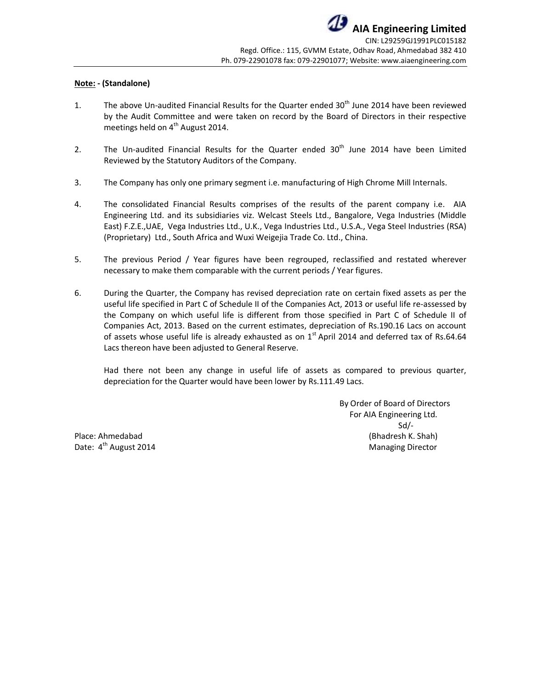### **Note: - (Standalone)**

- 1. The above Un-audited Financial Results for the Quarter ended 30<sup>th</sup> June 2014 have been reviewed by the Audit Committee and were taken on record by the Board of Directors in their respective meetings held on  $4<sup>th</sup>$  August 2014.
- 2. The Un-audited Financial Results for the Quarter ended  $30<sup>th</sup>$  June 2014 have been Limited Reviewed by the Statutory Auditors of the Company.
- 3. The Company has only one primary segment i.e. manufacturing of High Chrome Mill Internals.
- 4. The consolidated Financial Results comprises of the results of the parent company i.e. AIA Engineering Ltd. and its subsidiaries viz. Welcast Steels Ltd., Bangalore, Vega Industries (Middle East) F.Z.E.,UAE, Vega Industries Ltd., U.K., Vega Industries Ltd., U.S.A., Vega Steel Industries (RSA) (Proprietary) Ltd., South Africa and Wuxi Weigejia Trade Co. Ltd., China.
- 5. The previous Period / Year figures have been regrouped, reclassified and restated wherever necessary to make them comparable with the current periods / Year figures.
- 6. During the Quarter, the Company has revised depreciation rate on certain fixed assets as per the useful life specified in Part C of Schedule II of the Companies Act, 2013 or useful life re-assessed by the Company on which useful life is different from those specified in Part C of Schedule II of Companies Act, 2013. Based on the current estimates, depreciation of Rs.190.16 Lacs on account of assets whose useful life is already exhausted as on 1<sup>st</sup> April 2014 and deferred tax of Rs.64.64 Lacs thereon have been adjusted to General Reserve.

 Had there not been any change in useful life of assets as compared to previous quarter, depreciation for the Quarter would have been lower by Rs.111.49 Lacs.

 By Order of Board of Directors For AIA Engineering Ltd. Sd/- Place: Ahmedabad (Bhadresh K. Shah) Date:  $4^{\text{th}}$  August 2014 Managing Director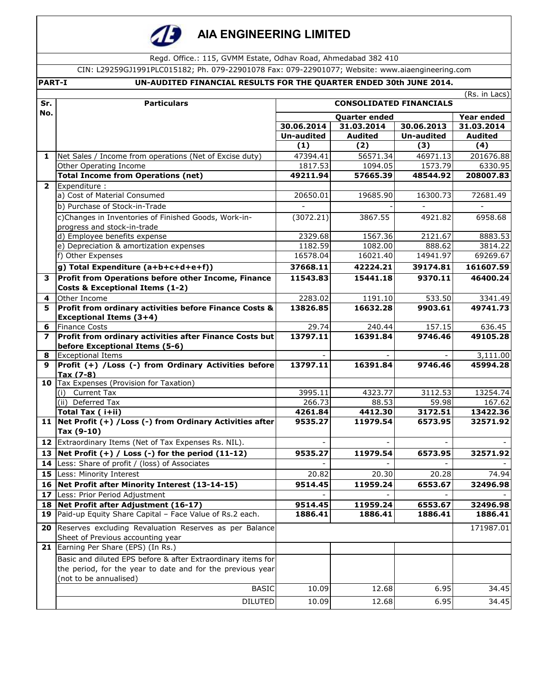

# **AIA ENGINEERING LIMITED**

Regd. Office.: 115, GVMM Estate, Odhav Road, Ahmedabad 382 410

CIN: L29259GJ1991PLC015182; Ph. 079-22901078 Fax: 079-22901077; Website: www.aiaengineering.com

|                 | <b>PART-I</b><br>UN-AUDITED FINANCIAL RESULTS FOR THE QUARTER ENDED 30th JUNE 2014. |                     |                                |                     |                      |  |  |
|-----------------|-------------------------------------------------------------------------------------|---------------------|--------------------------------|---------------------|----------------------|--|--|
|                 |                                                                                     | (Rs. in Lacs)       |                                |                     |                      |  |  |
| Sr.<br>No.      | <b>Particulars</b>                                                                  |                     | <b>CONSOLIDATED FINANCIALS</b> |                     |                      |  |  |
|                 |                                                                                     |                     | <b>Quarter ended</b>           |                     | Year ended           |  |  |
|                 |                                                                                     | 30.06.2014          | 31.03.2014                     | 30.06.2013          | 31.03.2014           |  |  |
|                 |                                                                                     | <b>Un-audited</b>   | <b>Audited</b>                 | <b>Un-audited</b>   | <b>Audited</b>       |  |  |
|                 |                                                                                     | (1)                 | (2)                            | (3)                 | (4)                  |  |  |
| 1               | Net Sales / Income from operations (Net of Excise duty)                             | 47394.41            | 56571.34                       | 46971.13            | 201676.88            |  |  |
|                 | Other Operating Income<br><b>Total Income from Operations (net)</b>                 | 1817.53<br>49211.94 | 1094.05<br>57665.39            | 1573.79<br>48544.92 | 6330.95<br>208007.83 |  |  |
| $\overline{2}$  | Expenditure :                                                                       |                     |                                |                     |                      |  |  |
|                 | a) Cost of Material Consumed                                                        | 20650.01            | 19685.90                       | 16300.73            | 72681.49             |  |  |
|                 | b) Purchase of Stock-in-Trade                                                       |                     |                                |                     |                      |  |  |
|                 | c)Changes in Inventories of Finished Goods, Work-in-                                | (3072.21)           | 3867.55                        | 4921.82             | 6958.68              |  |  |
|                 | progress and stock-in-trade                                                         |                     |                                |                     |                      |  |  |
|                 | d) Employee benefits expense                                                        | 2329.68             | 1567.36                        | 2121.67             | 8883.53              |  |  |
|                 | e) Depreciation & amortization expenses                                             | 1182.59             | 1082.00                        | 888.62              | 3814.22              |  |  |
|                 | f) Other Expenses                                                                   | 16578.04            | 16021.40                       | 14941.97            | 69269.67             |  |  |
|                 | g) Total Expenditure (a+b+c+d+e+f))                                                 | 37668.11            | 42224.21                       | 39174.81            | 161607.59            |  |  |
| 3               | Profit from Operations before other Income, Finance                                 | 11543.83            | 15441.18                       | 9370.11             | 46400.24             |  |  |
|                 | <b>Costs &amp; Exceptional Items (1-2)</b>                                          |                     |                                |                     |                      |  |  |
| 4               | Other Income                                                                        | 2283.02             | 1191.10                        | 533.50              | 3341.49              |  |  |
| 5               | Profit from ordinary activities before Finance Costs &                              | 13826.85            | 16632.28                       | 9903.61             | 49741.73             |  |  |
|                 | <b>Exceptional Items (3+4)</b>                                                      |                     |                                |                     |                      |  |  |
| 6               | <b>Finance Costs</b>                                                                | 29.74               | 240.44                         | 157.15              | 636.45               |  |  |
| 7               | Profit from ordinary activities after Finance Costs but                             | 13797.11            | 16391.84                       | 9746.46             | 49105.28             |  |  |
| 8               | before Exceptional Items (5-6)<br><b>Exceptional Items</b>                          |                     |                                |                     | 3,111.00             |  |  |
| 9               | Profit (+) / Loss (-) from Ordinary Activities before                               | 13797.11            | 16391.84                       | 9746.46             | 45994.28             |  |  |
|                 | Tax (7-8)                                                                           |                     |                                |                     |                      |  |  |
|                 | 10 Tax Expenses (Provision for Taxation)                                            |                     |                                |                     |                      |  |  |
|                 | (i) Current Tax                                                                     | 3995.11             | 4323.77                        | 3112.53             | 13254.74             |  |  |
|                 | $\overline{(\mathsf{ii})}$ Deferred Tax                                             | 266.73              | 88.53                          | 59.98               | 167.62               |  |  |
|                 | Total Tax (i+ii)                                                                    | 4261.84             | 4412.30                        | 3172.51             | 13422.36             |  |  |
|                 | 11   Net Profit (+) / Loss (-) from Ordinary Activities after<br>Tax (9-10)         | 9535.27             | 11979.54                       | 6573.95             | 32571.92             |  |  |
|                 | 12 Extraordinary Items (Net of Tax Expenses Rs. NIL).                               |                     |                                |                     |                      |  |  |
| 13              | Net Profit $(+)$ / Loss $(-)$ for the period $(11-12)$                              | 9535.27             | 11979.54                       | 6573.95             | 32571.92             |  |  |
|                 | 14 Less: Share of profit / (loss) of Associates                                     |                     |                                |                     |                      |  |  |
| 15              | Less: Minority Interest                                                             | 20.82               | 20.30                          | 20.28               | 74.94                |  |  |
|                 | 16 Net Profit after Minority Interest (13-14-15)                                    | 9514.45             | 11959.24                       | 6553.67             | 32496.98             |  |  |
| 17 <sub>2</sub> | Less: Prior Period Adjustment                                                       |                     |                                |                     |                      |  |  |
|                 | 18 Net Profit after Adjustment (16-17)                                              | 9514.45             | 11959.24                       | 6553.67             | 32496.98             |  |  |
| 19              | Paid-up Equity Share Capital - Face Value of Rs.2 each.                             | 1886.41             | 1886.41                        | 1886.41             | 1886.41              |  |  |
| 20              | Reserves excluding Revaluation Reserves as per Balance                              |                     |                                |                     | 171987.01            |  |  |
|                 | Sheet of Previous accounting year                                                   |                     |                                |                     |                      |  |  |
|                 | 21 Earning Per Share (EPS) (In Rs.)                                                 |                     |                                |                     |                      |  |  |
|                 | Basic and diluted EPS before & after Extraordinary items for                        |                     |                                |                     |                      |  |  |
|                 | the period, for the year to date and for the previous year                          |                     |                                |                     |                      |  |  |
|                 | (not to be annualised)                                                              |                     |                                |                     |                      |  |  |
|                 | <b>BASIC</b>                                                                        | 10.09               | 12.68                          | 6.95                | 34.45                |  |  |
|                 | <b>DILUTED</b>                                                                      | 10.09               | 12.68                          | 6.95                | 34.45                |  |  |
|                 |                                                                                     |                     |                                |                     |                      |  |  |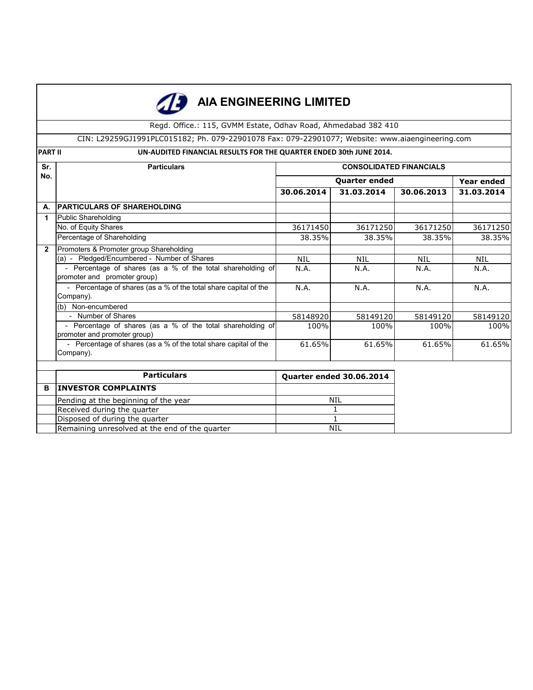|                                                                                      | <b>AIA ENGINEERING LIMITED</b>                                                                  |                                |                                 |            |            |  |  |
|--------------------------------------------------------------------------------------|-------------------------------------------------------------------------------------------------|--------------------------------|---------------------------------|------------|------------|--|--|
|                                                                                      | Regd. Office.: 115, GVMM Estate, Odhav Road, Ahmedabad 382 410                                  |                                |                                 |            |            |  |  |
|                                                                                      | CIN: L29259GJ1991PLC015182; Ph. 079-22901078 Fax: 079-22901077; Website: www.aiaengineering.com |                                |                                 |            |            |  |  |
| <b>PART II</b><br>UN-AUDITED FINANCIAL RESULTS FOR THE QUARTER ENDED 30th JUNE 2014. |                                                                                                 |                                |                                 |            |            |  |  |
| Sr.                                                                                  | <b>Particulars</b>                                                                              | <b>CONSOLIDATED FINANCIALS</b> |                                 |            |            |  |  |
| No.                                                                                  |                                                                                                 |                                | <b>Year ended</b>               |            |            |  |  |
|                                                                                      |                                                                                                 | 30.06.2014                     | 31.03.2014                      | 30.06.2013 | 31.03.2014 |  |  |
| А.                                                                                   | <b>PARTICULARS OF SHAREHOLDING</b>                                                              |                                |                                 |            |            |  |  |
| 1                                                                                    | Public Shareholding                                                                             |                                |                                 |            |            |  |  |
|                                                                                      | No. of Equity Shares                                                                            | 36171450                       | 36171250                        | 36171250   | 36171250   |  |  |
|                                                                                      | Percentage of Shareholding                                                                      | 38.35%                         | 38.35%                          | 38.35%     | 38.35%     |  |  |
| $\mathbf{2}$                                                                         | Promoters & Promoter group Shareholding                                                         |                                |                                 |            |            |  |  |
|                                                                                      | (a) - Pledged/Encumbered - Number of Shares                                                     | <b>NIL</b>                     | <b>NIL</b>                      | <b>NIL</b> | <b>NIL</b> |  |  |
|                                                                                      | - Percentage of shares (as a % of the total shareholding of<br>promoter and promoter group)     | N.A.                           | N.A.                            | N.A.       | N.A.       |  |  |
|                                                                                      | - Percentage of shares (as a % of the total share capital of the<br>Company).                   | N.A.                           | N.A.                            | N.A.       | N.A.       |  |  |
|                                                                                      | (b) Non-encumbered                                                                              |                                |                                 |            |            |  |  |
|                                                                                      | - Number of Shares                                                                              | 58148920                       | 58149120                        | 58149120   | 58149120   |  |  |
|                                                                                      | - Percentage of shares (as a % of the total shareholding of<br>promoter and promoter group)     | 100%                           | 100%                            | 100%       | 100%       |  |  |
|                                                                                      | - Percentage of shares (as a % of the total share capital of the<br>Company).                   | 61.65%                         | 61.65%                          | 61.65%     | 61.65%     |  |  |
| <b>Particulars</b>                                                                   |                                                                                                 |                                |                                 |            |            |  |  |
|                                                                                      |                                                                                                 |                                | <b>Quarter ended 30.06.2014</b> |            |            |  |  |
| в                                                                                    | <b>INVESTOR COMPLAINTS</b>                                                                      |                                |                                 |            |            |  |  |
|                                                                                      | Pending at the beginning of the year                                                            | <b>NIL</b>                     |                                 |            |            |  |  |
|                                                                                      | Received during the quarter                                                                     |                                | $\mathbf{1}$                    |            |            |  |  |
|                                                                                      | Disposed of during the quarter                                                                  |                                | $\mathbf{1}$                    |            |            |  |  |
|                                                                                      | Remaining unresolved at the end of the quarter                                                  | <b>NIL</b>                     |                                 |            |            |  |  |